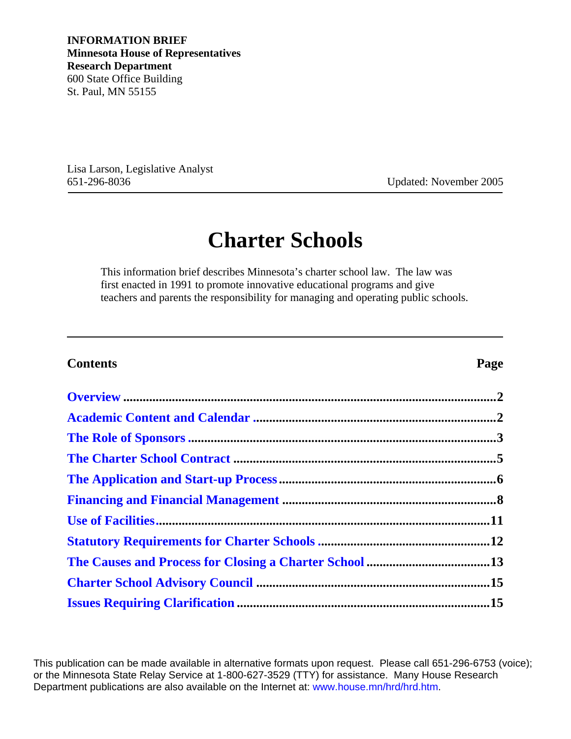Lisa Larson, Legislative Analyst 651-296-8036 Updated: November 2005

# **Charter Schools**

This information brief describes Minnesota's charter school law. The law was first enacted in 1991 to promote innovative educational programs and give teachers and parents the responsibility for managing and operating public schools.

### **Contents Page**

This publication can be made available in alternative formats upon request. Please call 651-296-6753 (voice); or the Minnesota State Relay Service at 1-800-627-3529 (TTY) for assistance. Many House Research Department publications are also available on the Internet at: www.house.mn/hrd/hrd.htm.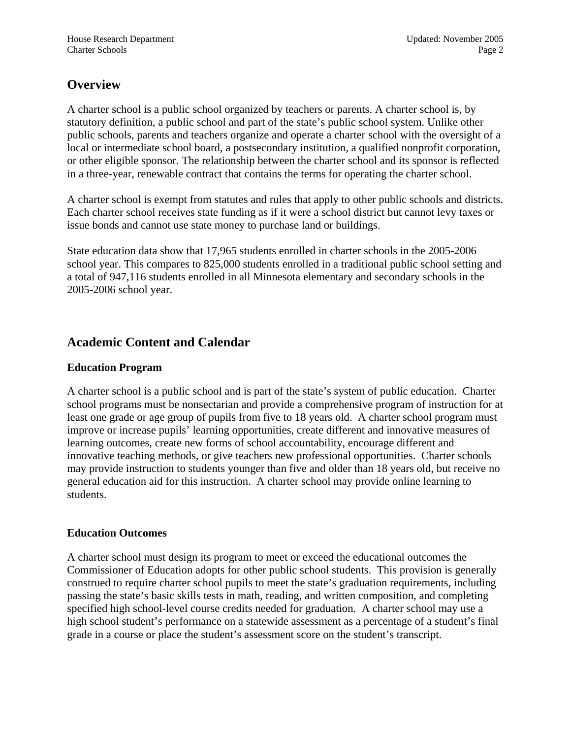## <span id="page-1-0"></span>**Overview**

A charter school is a public school organized by teachers or parents. A charter school is, by statutory definition, a public school and part of the state's public school system. Unlike other public schools, parents and teachers organize and operate a charter school with the oversight of a local or intermediate school board, a postsecondary institution, a qualified nonprofit corporation, or other eligible sponsor. The relationship between the charter school and its sponsor is reflected in a three-year, renewable contract that contains the terms for operating the charter school.

A charter school is exempt from statutes and rules that apply to other public schools and districts. Each charter school receives state funding as if it were a school district but cannot levy taxes or issue bonds and cannot use state money to purchase land or buildings.

State education data show that 17,965 students enrolled in charter schools in the 2005-2006 school year. This compares to 825,000 students enrolled in a traditional public school setting and a total of 947,116 students enrolled in all Minnesota elementary and secondary schools in the 2005-2006 school year.

### **Academic Content and Calendar**

### **Education Program**

A charter school is a public school and is part of the state's system of public education. Charter school programs must be nonsectarian and provide a comprehensive program of instruction for at least one grade or age group of pupils from five to 18 years old. A charter school program must improve or increase pupils' learning opportunities, create different and innovative measures of learning outcomes, create new forms of school accountability, encourage different and innovative teaching methods, or give teachers new professional opportunities. Charter schools may provide instruction to students younger than five and older than 18 years old, but receive no general education aid for this instruction. A charter school may provide online learning to students.

### **Education Outcomes**

A charter school must design its program to meet or exceed the educational outcomes the Commissioner of Education adopts for other public school students. This provision is generally construed to require charter school pupils to meet the state's graduation requirements, including passing the state's basic skills tests in math, reading, and written composition, and completing specified high school-level course credits needed for graduation. A charter school may use a high school student's performance on a statewide assessment as a percentage of a student's final grade in a course or place the student's assessment score on the student's transcript.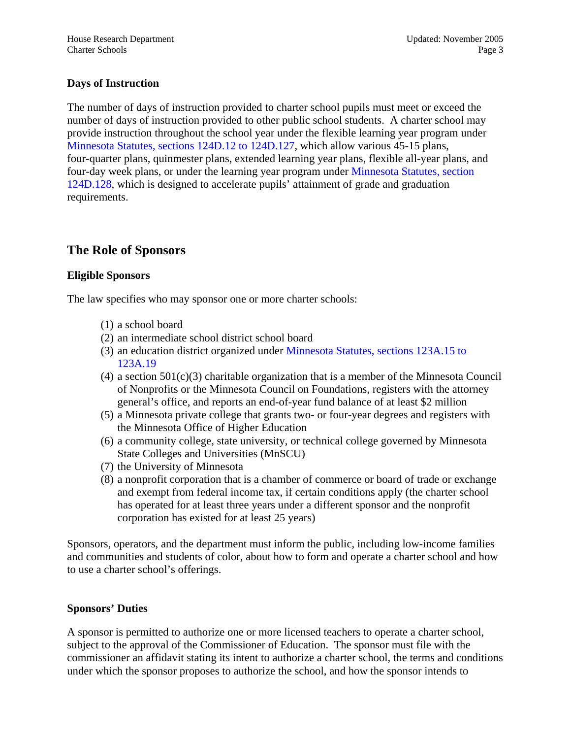### <span id="page-2-0"></span>**Days of Instruction**

The number of days of instruction provided to charter school pupils must meet or exceed the number of days of instruction provided to other public school students. A charter school may provide instruction throughout the school year under the flexible learning year program under [Minnesota Statutes, sections 124D.12 to 124D.127](http://www.revisor.leg.state.mn.us/bin/getpub.php?type=s&num=124D), which allow various 45-15 plans, four-quarter plans, quinmester plans, extended learning year plans, flexible all-year plans, and four-day week plans, or under the learning year program under [Minnesota Statutes, section](http://www.revisor.leg.state.mn.us/bin/getpub.php?type=s&num=124D.128)  [124D.128,](http://www.revisor.leg.state.mn.us/bin/getpub.php?type=s&num=124D.128) which is designed to accelerate pupils' attainment of grade and graduation requirements.

### **The Role of Sponsors**

### **Eligible Sponsors**

The law specifies who may sponsor one or more charter schools:

- (1) a school board
- (2) an intermediate school district school board
- (3) an education district organized under [Minnesota Statutes, sections 123A.15 to](http://www.revisor.leg.state.mn.us/bin/getpub.php?type=s&num=123A) [123A.19](http://www.revisor.leg.state.mn.us/bin/getpub.php?type=s&num=123A)
- $(4)$  a section  $501(c)(3)$  charitable organization that is a member of the Minnesota Council of Nonprofits or the Minnesota Council on Foundations, registers with the attorney general's office, and reports an end-of-year fund balance of at least \$2 million
- (5) a Minnesota private college that grants two- or four-year degrees and registers with the Minnesota Office of Higher Education
- (6) a community college, state university, or technical college governed by Minnesota State Colleges and Universities (MnSCU)
- (7) the University of Minnesota
- (8) a nonprofit corporation that is a chamber of commerce or board of trade or exchange and exempt from federal income tax, if certain conditions apply (the charter school has operated for at least three years under a different sponsor and the nonprofit corporation has existed for at least 25 years)

Sponsors, operators, and the department must inform the public, including low-income families and communities and students of color, about how to form and operate a charter school and how to use a charter school's offerings.

### **Sponsors' Duties**

A sponsor is permitted to authorize one or more licensed teachers to operate a charter school, subject to the approval of the Commissioner of Education. The sponsor must file with the commissioner an affidavit stating its intent to authorize a charter school, the terms and conditions under which the sponsor proposes to authorize the school, and how the sponsor intends to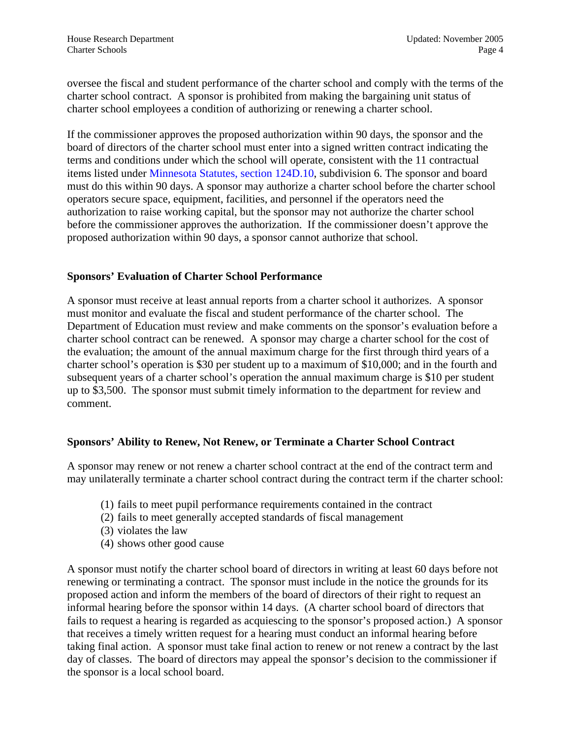oversee the fiscal and student performance of the charter school and comply with the terms of the charter school contract. A sponsor is prohibited from making the bargaining unit status of charter school employees a condition of authorizing or renewing a charter school.

If the commissioner approves the proposed authorization within 90 days, the sponsor and the board of directors of the charter school must enter into a signed written contract indicating the terms and conditions under which the school will operate, consistent with the 11 contractual items listed under [Minnesota Statutes, section 124D.10,](http://www.revisor.leg.state.mn.us/bin/getpub.php?type=s&num=124D.10) subdivision 6. The sponsor and board must do this within 90 days. A sponsor may authorize a charter school before the charter school operators secure space, equipment, facilities, and personnel if the operators need the authorization to raise working capital, but the sponsor may not authorize the charter school before the commissioner approves the authorization. If the commissioner doesn't approve the proposed authorization within 90 days, a sponsor cannot authorize that school.

### **Sponsors' Evaluation of Charter School Performance**

A sponsor must receive at least annual reports from a charter school it authorizes. A sponsor must monitor and evaluate the fiscal and student performance of the charter school. The Department of Education must review and make comments on the sponsor's evaluation before a charter school contract can be renewed. A sponsor may charge a charter school for the cost of the evaluation; the amount of the annual maximum charge for the first through third years of a charter school's operation is \$30 per student up to a maximum of \$10,000; and in the fourth and subsequent years of a charter school's operation the annual maximum charge is \$10 per student up to \$3,500. The sponsor must submit timely information to the department for review and comment.

### **Sponsors' Ability to Renew, Not Renew, or Terminate a Charter School Contract**

A sponsor may renew or not renew a charter school contract at the end of the contract term and may unilaterally terminate a charter school contract during the contract term if the charter school:

- (1) fails to meet pupil performance requirements contained in the contract
- (2) fails to meet generally accepted standards of fiscal management
- (3) violates the law
- (4) shows other good cause

A sponsor must notify the charter school board of directors in writing at least 60 days before not renewing or terminating a contract. The sponsor must include in the notice the grounds for its proposed action and inform the members of the board of directors of their right to request an informal hearing before the sponsor within 14 days. (A charter school board of directors that fails to request a hearing is regarded as acquiescing to the sponsor's proposed action.) A sponsor that receives a timely written request for a hearing must conduct an informal hearing before taking final action. A sponsor must take final action to renew or not renew a contract by the last day of classes. The board of directors may appeal the sponsor's decision to the commissioner if the sponsor is a local school board.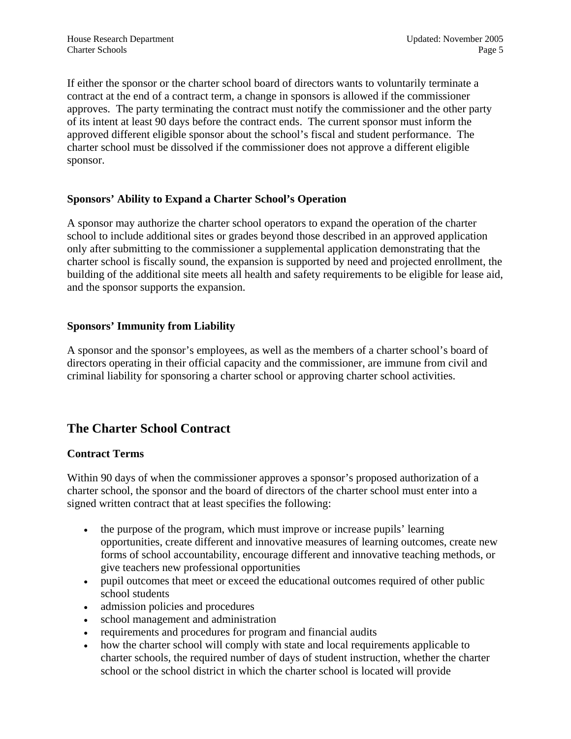<span id="page-4-0"></span>If either the sponsor or the charter school board of directors wants to voluntarily terminate a contract at the end of a contract term, a change in sponsors is allowed if the commissioner approves. The party terminating the contract must notify the commissioner and the other party of its intent at least 90 days before the contract ends. The current sponsor must inform the approved different eligible sponsor about the school's fiscal and student performance. The charter school must be dissolved if the commissioner does not approve a different eligible sponsor.

### **Sponsors' Ability to Expand a Charter School's Operation**

A sponsor may authorize the charter school operators to expand the operation of the charter school to include additional sites or grades beyond those described in an approved application only after submitting to the commissioner a supplemental application demonstrating that the charter school is fiscally sound, the expansion is supported by need and projected enrollment, the building of the additional site meets all health and safety requirements to be eligible for lease aid, and the sponsor supports the expansion.

### **Sponsors' Immunity from Liability**

A sponsor and the sponsor's employees, as well as the members of a charter school's board of directors operating in their official capacity and the commissioner, are immune from civil and criminal liability for sponsoring a charter school or approving charter school activities.

### **The Charter School Contract**

### **Contract Terms**

Within 90 days of when the commissioner approves a sponsor's proposed authorization of a charter school, the sponsor and the board of directors of the charter school must enter into a signed written contract that at least specifies the following:

- the purpose of the program, which must improve or increase pupils' learning opportunities, create different and innovative measures of learning outcomes, create new forms of school accountability, encourage different and innovative teaching methods, or give teachers new professional opportunities
- pupil outcomes that meet or exceed the educational outcomes required of other public school students
- admission policies and procedures
- school management and administration
- requirements and procedures for program and financial audits
- how the charter school will comply with state and local requirements applicable to charter schools, the required number of days of student instruction, whether the charter school or the school district in which the charter school is located will provide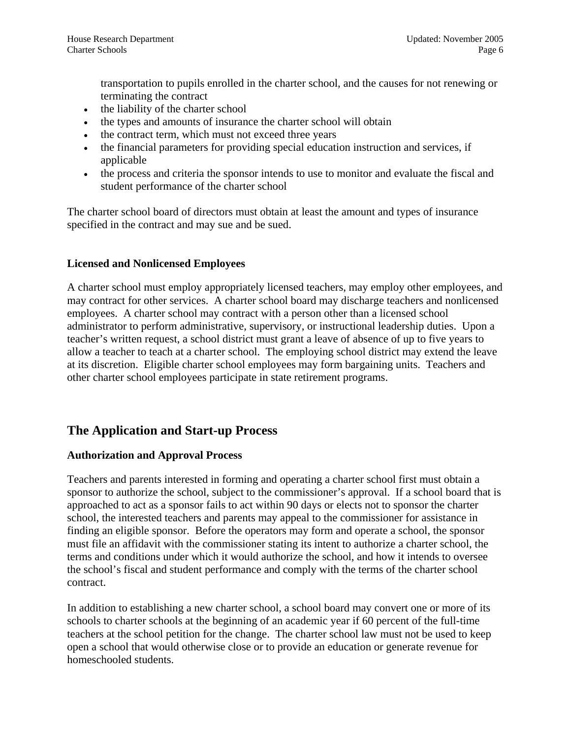<span id="page-5-0"></span>transportation to pupils enrolled in the charter school, and the causes for not renewing or terminating the contract

- the liability of the charter school
- the types and amounts of insurance the charter school will obtain
- the contract term, which must not exceed three years
- the financial parameters for providing special education instruction and services, if applicable
- the process and criteria the sponsor intends to use to monitor and evaluate the fiscal and student performance of the charter school

The charter school board of directors must obtain at least the amount and types of insurance specified in the contract and may sue and be sued.

### **Licensed and Nonlicensed Employees**

A charter school must employ appropriately licensed teachers, may employ other employees, and may contract for other services. A charter school board may discharge teachers and nonlicensed employees. A charter school may contract with a person other than a licensed school administrator to perform administrative, supervisory, or instructional leadership duties. Upon a teacher's written request, a school district must grant a leave of absence of up to five years to allow a teacher to teach at a charter school. The employing school district may extend the leave at its discretion. Eligible charter school employees may form bargaining units. Teachers and other charter school employees participate in state retirement programs.

### **The Application and Start-up Process**

### **Authorization and Approval Process**

Teachers and parents interested in forming and operating a charter school first must obtain a sponsor to authorize the school, subject to the commissioner's approval. If a school board that is approached to act as a sponsor fails to act within 90 days or elects not to sponsor the charter school, the interested teachers and parents may appeal to the commissioner for assistance in finding an eligible sponsor. Before the operators may form and operate a school, the sponsor must file an affidavit with the commissioner stating its intent to authorize a charter school, the terms and conditions under which it would authorize the school, and how it intends to oversee the school's fiscal and student performance and comply with the terms of the charter school contract.

In addition to establishing a new charter school, a school board may convert one or more of its schools to charter schools at the beginning of an academic year if 60 percent of the full-time teachers at the school petition for the change. The charter school law must not be used to keep open a school that would otherwise close or to provide an education or generate revenue for homeschooled students.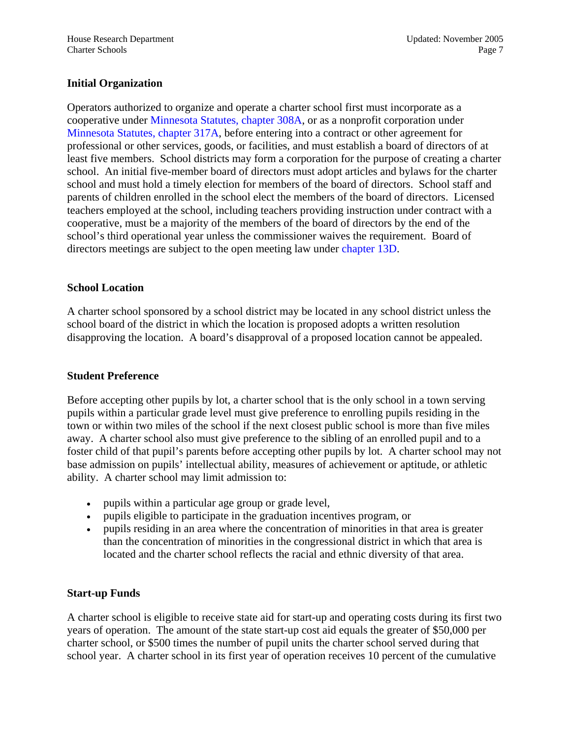### **Initial Organization**

Operators authorized to organize and operate a charter school first must incorporate as a cooperative under [Minnesota Statutes, chapter 308A,](http://www.revisor.leg.state.mn.us/bin/getpub.php?type=s&num=308A) or as a nonprofit corporation under [Minnesota Statutes, chapter 317A,](http://www.revisor.leg.state.mn.us/bin/getpub.php?type=s&num=317A) before entering into a contract or other agreement for professional or other services, goods, or facilities, and must establish a board of directors of at least five members. School districts may form a corporation for the purpose of creating a charter school. An initial five-member board of directors must adopt articles and bylaws for the charter school and must hold a timely election for members of the board of directors. School staff and parents of children enrolled in the school elect the members of the board of directors. Licensed teachers employed at the school, including teachers providing instruction under contract with a cooperative, must be a majority of the members of the board of directors by the end of the school's third operational year unless the commissioner waives the requirement. Board of directors meetings are subject to the open meeting law under [chapter 13D.](http://www.revisor.leg.state.mn.us/bin/getpub.php?type=s&num=13D)

### **School Location**

A charter school sponsored by a school district may be located in any school district unless the school board of the district in which the location is proposed adopts a written resolution disapproving the location. A board's disapproval of a proposed location cannot be appealed.

### **Student Preference**

Before accepting other pupils by lot, a charter school that is the only school in a town serving pupils within a particular grade level must give preference to enrolling pupils residing in the town or within two miles of the school if the next closest public school is more than five miles away. A charter school also must give preference to the sibling of an enrolled pupil and to a foster child of that pupil's parents before accepting other pupils by lot. A charter school may not base admission on pupils' intellectual ability, measures of achievement or aptitude, or athletic ability. A charter school may limit admission to:

- pupils within a particular age group or grade level,
- pupils eligible to participate in the graduation incentives program, or
- pupils residing in an area where the concentration of minorities in that area is greater than the concentration of minorities in the congressional district in which that area is located and the charter school reflects the racial and ethnic diversity of that area.

### **Start-up Funds**

A charter school is eligible to receive state aid for start-up and operating costs during its first two years of operation. The amount of the state start-up cost aid equals the greater of \$50,000 per charter school, or \$500 times the number of pupil units the charter school served during that school year. A charter school in its first year of operation receives 10 percent of the cumulative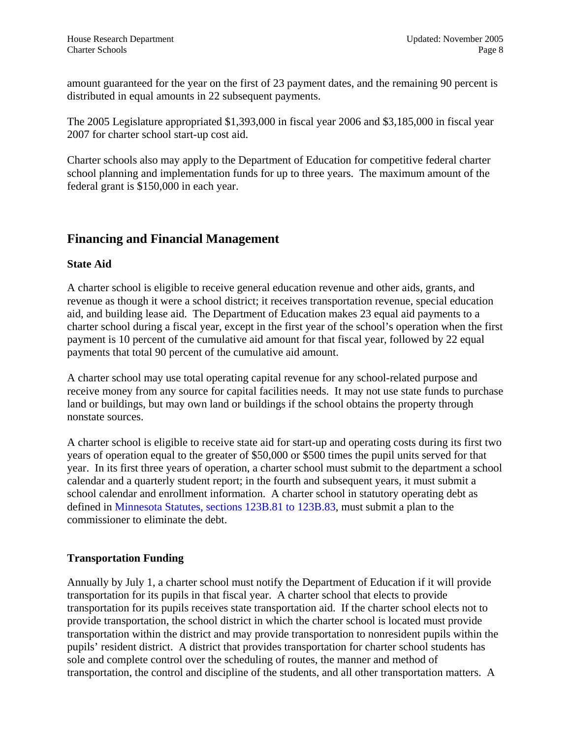<span id="page-7-0"></span>amount guaranteed for the year on the first of 23 payment dates, and the remaining 90 percent is distributed in equal amounts in 22 subsequent payments.

The 2005 Legislature appropriated \$1,393,000 in fiscal year 2006 and \$3,185,000 in fiscal year 2007 for charter school start-up cost aid.

Charter schools also may apply to the Department of Education for competitive federal charter school planning and implementation funds for up to three years. The maximum amount of the federal grant is \$150,000 in each year.

### **Financing and Financial Management**

### **State Aid**

A charter school is eligible to receive general education revenue and other aids, grants, and revenue as though it were a school district; it receives transportation revenue, special education aid, and building lease aid. The Department of Education makes 23 equal aid payments to a charter school during a fiscal year, except in the first year of the school's operation when the first payment is 10 percent of the cumulative aid amount for that fiscal year, followed by 22 equal payments that total 90 percent of the cumulative aid amount.

A charter school may use total operating capital revenue for any school-related purpose and receive money from any source for capital facilities needs. It may not use state funds to purchase land or buildings, but may own land or buildings if the school obtains the property through nonstate sources.

A charter school is eligible to receive state aid for start-up and operating costs during its first two years of operation equal to the greater of \$50,000 or \$500 times the pupil units served for that year. In its first three years of operation, a charter school must submit to the department a school calendar and a quarterly student report; in the fourth and subsequent years, it must submit a school calendar and enrollment information. A charter school in statutory operating debt as defined in [Minnesota Statutes, sections 123B.81 to 123B.83](http://www.revisor.leg.state.mn.us/bin/getpub.php?type=s&num=123B), must submit a plan to the commissioner to eliminate the debt.

### **Transportation Funding**

Annually by July 1, a charter school must notify the Department of Education if it will provide transportation for its pupils in that fiscal year. A charter school that elects to provide transportation for its pupils receives state transportation aid. If the charter school elects not to provide transportation, the school district in which the charter school is located must provide transportation within the district and may provide transportation to nonresident pupils within the pupils' resident district. A district that provides transportation for charter school students has sole and complete control over the scheduling of routes, the manner and method of transportation, the control and discipline of the students, and all other transportation matters. A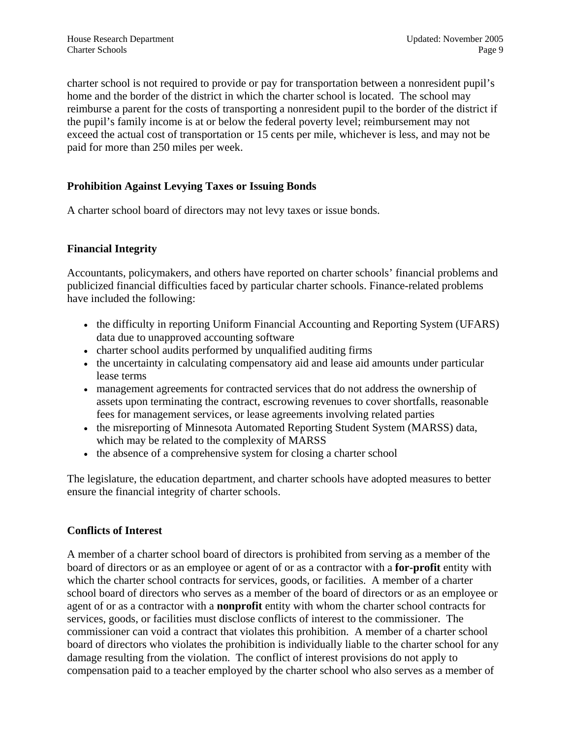charter school is not required to provide or pay for transportation between a nonresident pupil's home and the border of the district in which the charter school is located. The school may reimburse a parent for the costs of transporting a nonresident pupil to the border of the district if the pupil's family income is at or below the federal poverty level; reimbursement may not exceed the actual cost of transportation or 15 cents per mile, whichever is less, and may not be paid for more than 250 miles per week.

### **Prohibition Against Levying Taxes or Issuing Bonds**

A charter school board of directors may not levy taxes or issue bonds.

### **Financial Integrity**

Accountants, policymakers, and others have reported on charter schools' financial problems and publicized financial difficulties faced by particular charter schools. Finance-related problems have included the following:

- the difficulty in reporting Uniform Financial Accounting and Reporting System (UFARS) data due to unapproved accounting software
- charter school audits performed by unqualified auditing firms
- the uncertainty in calculating compensatory aid and lease aid amounts under particular lease terms
- management agreements for contracted services that do not address the ownership of assets upon terminating the contract, escrowing revenues to cover shortfalls, reasonable fees for management services, or lease agreements involving related parties
- the misreporting of Minnesota Automated Reporting Student System (MARSS) data, which may be related to the complexity of MARSS
- the absence of a comprehensive system for closing a charter school

The legislature, the education department, and charter schools have adopted measures to better ensure the financial integrity of charter schools.

### **Conflicts of Interest**

A member of a charter school board of directors is prohibited from serving as a member of the board of directors or as an employee or agent of or as a contractor with a **for-profit** entity with which the charter school contracts for services, goods, or facilities. A member of a charter school board of directors who serves as a member of the board of directors or as an employee or agent of or as a contractor with a **nonprofit** entity with whom the charter school contracts for services, goods, or facilities must disclose conflicts of interest to the commissioner. The commissioner can void a contract that violates this prohibition. A member of a charter school board of directors who violates the prohibition is individually liable to the charter school for any damage resulting from the violation. The conflict of interest provisions do not apply to compensation paid to a teacher employed by the charter school who also serves as a member of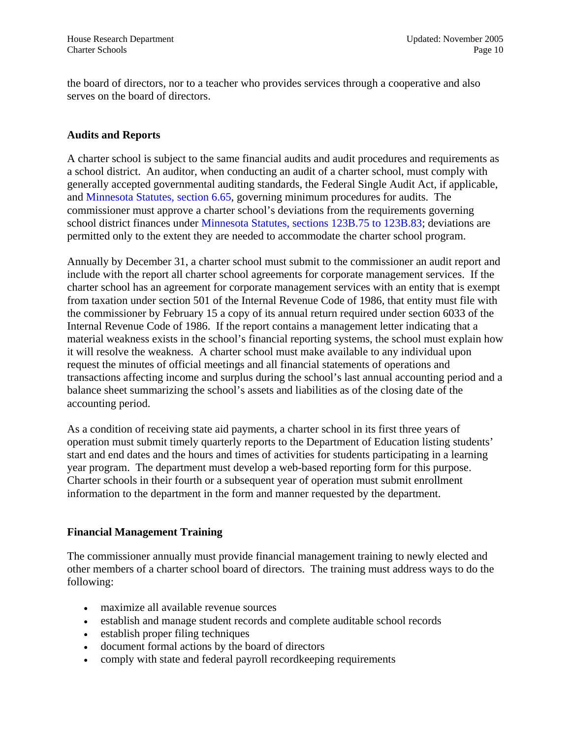the board of directors, nor to a teacher who provides services through a cooperative and also serves on the board of directors.

### **Audits and Reports**

A charter school is subject to the same financial audits and audit procedures and requirements as a school district. An auditor, when conducting an audit of a charter school, must comply with generally accepted governmental auditing standards, the Federal Single Audit Act, if applicable, and [Minnesota Statutes, section 6.65,](http://www.revisor.leg.state.mn.us/bin/getpub.php?type=s&num=6.65) governing minimum procedures for audits. The commissioner must approve a charter school's deviations from the requirements governing school district finances under [Minnesota Statutes, sections 123B.75 to 123B.83;](http://www.revisor.leg.state.mn.us/bin/getpub.php?type=s&num=123B) deviations are permitted only to the extent they are needed to accommodate the charter school program.

Annually by December 31, a charter school must submit to the commissioner an audit report and include with the report all charter school agreements for corporate management services. If the charter school has an agreement for corporate management services with an entity that is exempt from taxation under section 501 of the Internal Revenue Code of 1986, that entity must file with the commissioner by February 15 a copy of its annual return required under section 6033 of the Internal Revenue Code of 1986. If the report contains a management letter indicating that a material weakness exists in the school's financial reporting systems, the school must explain how it will resolve the weakness. A charter school must make available to any individual upon request the minutes of official meetings and all financial statements of operations and transactions affecting income and surplus during the school's last annual accounting period and a balance sheet summarizing the school's assets and liabilities as of the closing date of the accounting period.

As a condition of receiving state aid payments, a charter school in its first three years of operation must submit timely quarterly reports to the Department of Education listing students' start and end dates and the hours and times of activities for students participating in a learning year program. The department must develop a web-based reporting form for this purpose. Charter schools in their fourth or a subsequent year of operation must submit enrollment information to the department in the form and manner requested by the department.

### **Financial Management Training**

The commissioner annually must provide financial management training to newly elected and other members of a charter school board of directors. The training must address ways to do the following:

- maximize all available revenue sources
- establish and manage student records and complete auditable school records
- establish proper filing techniques
- document formal actions by the board of directors
- comply with state and federal payroll record keeping requirements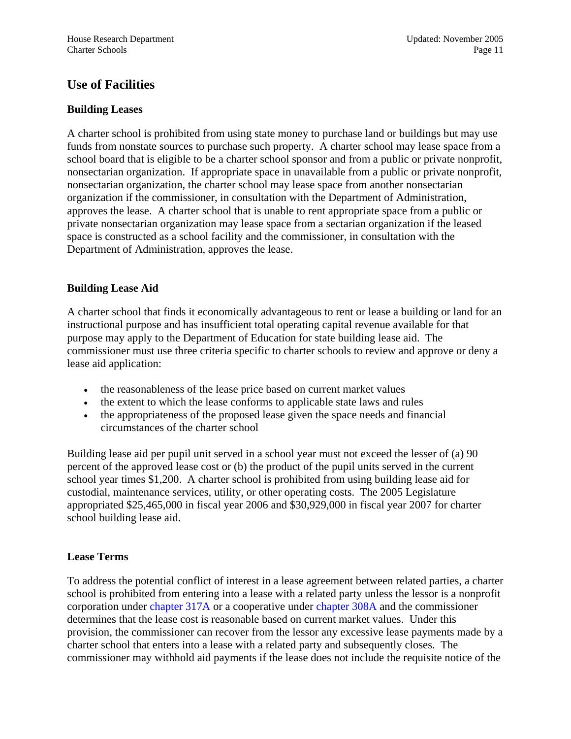### <span id="page-10-0"></span>**Use of Facilities**

### **Building Leases**

A charter school is prohibited from using state money to purchase land or buildings but may use funds from nonstate sources to purchase such property. A charter school may lease space from a school board that is eligible to be a charter school sponsor and from a public or private nonprofit, nonsectarian organization. If appropriate space in unavailable from a public or private nonprofit, nonsectarian organization, the charter school may lease space from another nonsectarian organization if the commissioner, in consultation with the Department of Administration, approves the lease. A charter school that is unable to rent appropriate space from a public or private nonsectarian organization may lease space from a sectarian organization if the leased space is constructed as a school facility and the commissioner, in consultation with the Department of Administration, approves the lease.

### **Building Lease Aid**

A charter school that finds it economically advantageous to rent or lease a building or land for an instructional purpose and has insufficient total operating capital revenue available for that purpose may apply to the Department of Education for state building lease aid. The commissioner must use three criteria specific to charter schools to review and approve or deny a lease aid application:

- the reasonableness of the lease price based on current market values
- the extent to which the lease conforms to applicable state laws and rules
- the appropriateness of the proposed lease given the space needs and financial circumstances of the charter school

Building lease aid per pupil unit served in a school year must not exceed the lesser of (a) 90 percent of the approved lease cost or (b) the product of the pupil units served in the current school year times \$1,200. A charter school is prohibited from using building lease aid for custodial, maintenance services, utility, or other operating costs. The 2005 Legislature appropriated \$25,465,000 in fiscal year 2006 and \$30,929,000 in fiscal year 2007 for charter school building lease aid.

### **Lease Terms**

To address the potential conflict of interest in a lease agreement between related parties, a charter school is prohibited from entering into a lease with a related party unless the lessor is a nonprofit corporation under [chapter 317A](http://www.revisor.leg.state.mn.us/bin/getpub.php?type=s&num=317A) or a cooperative under [chapter 308A](http://www.revisor.leg.state.mn.us/bin/getpub.php?type=s&num=308A) and the commissioner determines that the lease cost is reasonable based on current market values. Under this provision, the commissioner can recover from the lessor any excessive lease payments made by a charter school that enters into a lease with a related party and subsequently closes. The commissioner may withhold aid payments if the lease does not include the requisite notice of the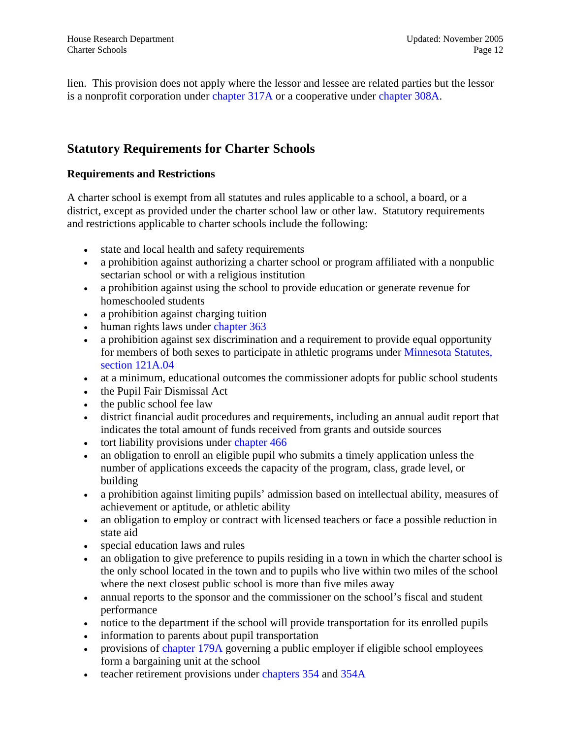<span id="page-11-0"></span>lien. This provision does not apply where the lessor and lessee are related parties but the lessor is a nonprofit corporation under [chapter 317A](http://www.revisor.leg.state.mn.us/bin/getpub.php?type=s&num=317A) or a cooperative under [chapter 308A.](http://www.revisor.leg.state.mn.us/bin/getpub.php?type=s&num=308A)

### **Statutory Requirements for Charter Schools**

### **Requirements and Restrictions**

A charter school is exempt from all statutes and rules applicable to a school, a board, or a district, except as provided under the charter school law or other law. Statutory requirements and restrictions applicable to charter schools include the following:

- state and local health and safety requirements
- a prohibition against authorizing a charter school or program affiliated with a nonpublic sectarian school or with a religious institution
- a prohibition against using the school to provide education or generate revenue for homeschooled students
- a prohibition against charging tuition
- human rights laws under [chapter 363](http://www.revisor.leg.state.mn.us/bin/getpub.php?type=s&num=363)
- a prohibition against sex discrimination and a requirement to provide equal opportunity for members of both sexes to participate in athletic programs under [Minnesota Statutes,](http://www.revisor.leg.state.mn.us/bin/getpub.php?type=s&num=121A.04) [section 121A.04](http://www.revisor.leg.state.mn.us/bin/getpub.php?type=s&num=121A.04)
- at a minimum, educational outcomes the commissioner adopts for public school students
- the Pupil Fair Dismissal Act
- the public school fee law
- district financial audit procedures and requirements, including an annual audit report that indicates the total amount of funds received from grants and outside sources
- tort liability provisions under chapter 466
- an obligation to enroll an eligible pupil who submits a timely application unless the number of applications exceeds the capacity of the program, class, grade level, or building
- a prohibition against limiting pupils' admission based on intellectual ability, measures of achievement or aptitude, or athletic ability
- an obligation to employ or contract with licensed teachers or face a possible reduction in state aid
- special education laws and rules
- an obligation to give preference to pupils residing in a town in which the charter school is the only school located in the town and to pupils who live within two miles of the school where the next closest public school is more than five miles away
- annual reports to the sponsor and the commissioner on the school's fiscal and student performance
- notice to the department if the school will provide transportation for its enrolled pupils
- information to parents about pupil transportation
- provisions of [chapter 179A](http://www.revisor.leg.state.mn.us/bin/getpub.php?type=s&num=179A) governing a public employer if eligible school employees form a bargaining unit at the school
- teacher retirement provisions under [chapters 354](http://www.revisor.leg.state.mn.us/bin/getpub.php?type=s&num=354) and [354A](http://www.revisor.leg.state.mn.us/bin/getpub.php?type=s&num=354A)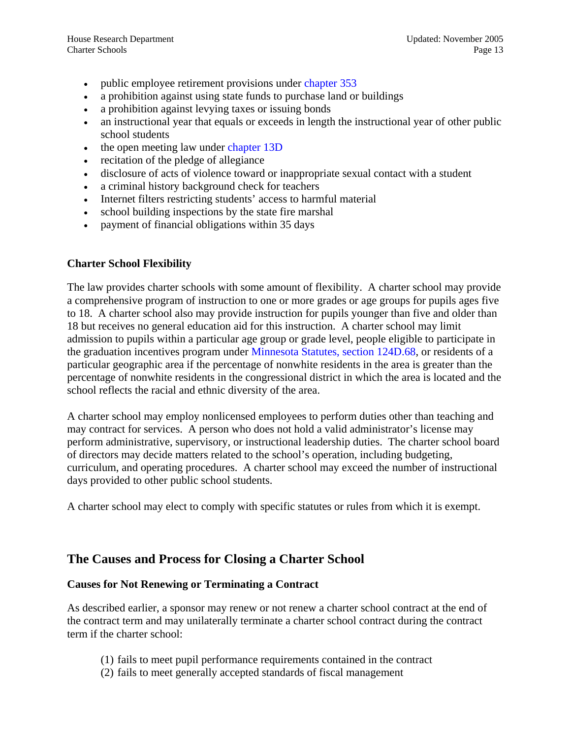- <span id="page-12-0"></span>• public employee retirement provisions under [chapter 353](http://www.revisor.leg.state.mn.us/bin/getpub.php?type=s&num=353)
- a prohibition against using state funds to purchase land or buildings
- a prohibition against levying taxes or issuing bonds
- an instructional year that equals or exceeds in length the instructional year of other public school students
- the open meeting law under [chapter 13D](http://www.revisor.leg.state.mn.us/bin/getpub.php?type=s&num=13D)
- recitation of the pledge of allegiance
- disclosure of acts of violence toward or inappropriate sexual contact with a student
- a criminal history background check for teachers
- Internet filters restricting students' access to harmful material
- school building inspections by the state fire marshal
- payment of financial obligations within 35 days

### **Charter School Flexibility**

The law provides charter schools with some amount of flexibility. A charter school may provide a comprehensive program of instruction to one or more grades or age groups for pupils ages five to 18. A charter school also may provide instruction for pupils younger than five and older than 18 but receives no general education aid for this instruction. A charter school may limit admission to pupils within a particular age group or grade level, people eligible to participate in the graduation incentives program under [Minnesota Statutes, section 124D.68,](http://www.revisor.leg.state.mn.us/bin/getpub.php?type=s&num=124D.68) or residents of a particular geographic area if the percentage of nonwhite residents in the area is greater than the percentage of nonwhite residents in the congressional district in which the area is located and the school reflects the racial and ethnic diversity of the area.

A charter school may employ nonlicensed employees to perform duties other than teaching and may contract for services. A person who does not hold a valid administrator's license may perform administrative, supervisory, or instructional leadership duties. The charter school board of directors may decide matters related to the school's operation, including budgeting, curriculum, and operating procedures. A charter school may exceed the number of instructional days provided to other public school students.

A charter school may elect to comply with specific statutes or rules from which it is exempt.

### **The Causes and Process for Closing a Charter School**

### **Causes for Not Renewing or Terminating a Contract**

As described earlier, a sponsor may renew or not renew a charter school contract at the end of the contract term and may unilaterally terminate a charter school contract during the contract term if the charter school:

- (1) fails to meet pupil performance requirements contained in the contract
- (2) fails to meet generally accepted standards of fiscal management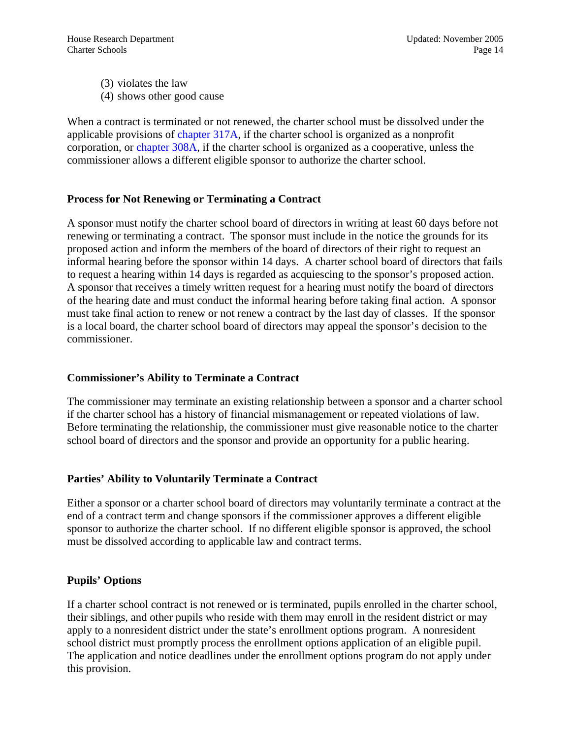(3) violates the law (4) shows other good cause

When a contract is terminated or not renewed, the charter school must be dissolved under the applicable provisions of [chapter 317A](http://www.revisor.leg.state.mn.us/bin/getpub.php?type=s&num=317A), if the charter school is organized as a nonprofit corporation, or [chapter 308A](http://www.revisor.leg.state.mn.us/bin/getpub.php?type=s&num=308A), if the charter school is organized as a cooperative, unless the commissioner allows a different eligible sponsor to authorize the charter school.

### **Process for Not Renewing or Terminating a Contract**

A sponsor must notify the charter school board of directors in writing at least 60 days before not renewing or terminating a contract. The sponsor must include in the notice the grounds for its proposed action and inform the members of the board of directors of their right to request an informal hearing before the sponsor within 14 days. A charter school board of directors that fails to request a hearing within 14 days is regarded as acquiescing to the sponsor's proposed action. A sponsor that receives a timely written request for a hearing must notify the board of directors of the hearing date and must conduct the informal hearing before taking final action. A sponsor must take final action to renew or not renew a contract by the last day of classes. If the sponsor is a local board, the charter school board of directors may appeal the sponsor's decision to the commissioner.

### **Commissioner's Ability to Terminate a Contract**

The commissioner may terminate an existing relationship between a sponsor and a charter school if the charter school has a history of financial mismanagement or repeated violations of law. Before terminating the relationship, the commissioner must give reasonable notice to the charter school board of directors and the sponsor and provide an opportunity for a public hearing.

### **Parties' Ability to Voluntarily Terminate a Contract**

Either a sponsor or a charter school board of directors may voluntarily terminate a contract at the end of a contract term and change sponsors if the commissioner approves a different eligible sponsor to authorize the charter school. If no different eligible sponsor is approved, the school must be dissolved according to applicable law and contract terms.

### **Pupils' Options**

If a charter school contract is not renewed or is terminated, pupils enrolled in the charter school, their siblings, and other pupils who reside with them may enroll in the resident district or may apply to a nonresident district under the state's enrollment options program. A nonresident school district must promptly process the enrollment options application of an eligible pupil. The application and notice deadlines under the enrollment options program do not apply under this provision.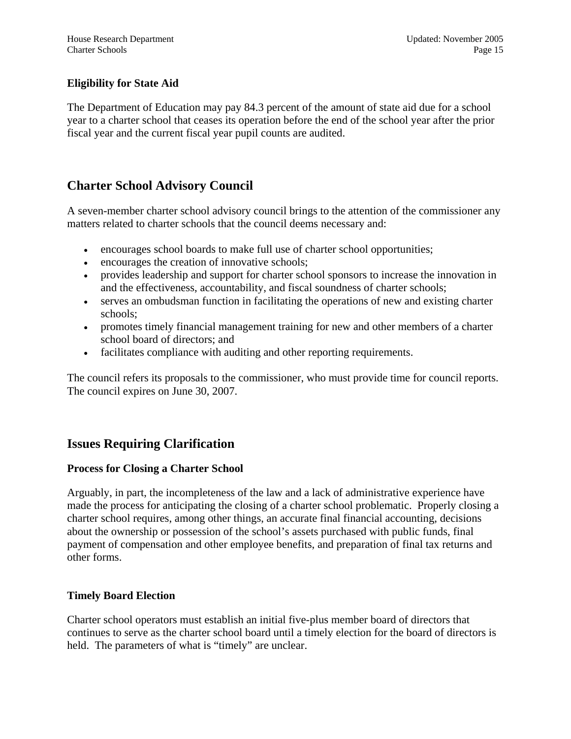### <span id="page-14-0"></span>**Eligibility for State Aid**

The Department of Education may pay 84.3 percent of the amount of state aid due for a school year to a charter school that ceases its operation before the end of the school year after the prior fiscal year and the current fiscal year pupil counts are audited.

### **Charter School Advisory Council**

A seven-member charter school advisory council brings to the attention of the commissioner any matters related to charter schools that the council deems necessary and:

- encourages school boards to make full use of charter school opportunities;
- encourages the creation of innovative schools;
- provides leadership and support for charter school sponsors to increase the innovation in and the effectiveness, accountability, and fiscal soundness of charter schools;
- serves an ombudsman function in facilitating the operations of new and existing charter schools;
- promotes timely financial management training for new and other members of a charter school board of directors; and
- facilitates compliance with auditing and other reporting requirements.

The council refers its proposals to the commissioner, who must provide time for council reports. The council expires on June 30, 2007.

### **Issues Requiring Clarification**

### **Process for Closing a Charter School**

Arguably, in part, the incompleteness of the law and a lack of administrative experience have made the process for anticipating the closing of a charter school problematic. Properly closing a charter school requires, among other things, an accurate final financial accounting, decisions about the ownership or possession of the school's assets purchased with public funds, final payment of compensation and other employee benefits, and preparation of final tax returns and other forms.

### **Timely Board Election**

Charter school operators must establish an initial five-plus member board of directors that continues to serve as the charter school board until a timely election for the board of directors is held. The parameters of what is "timely" are unclear.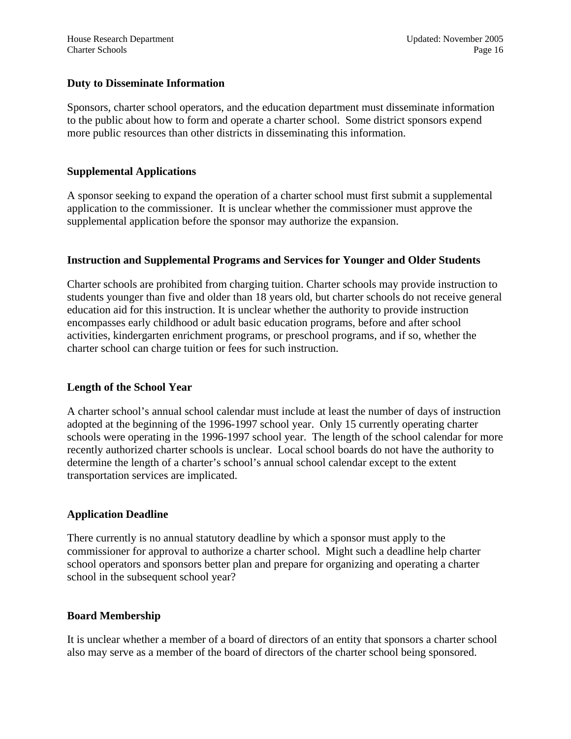### **Duty to Disseminate Information**

Sponsors, charter school operators, and the education department must disseminate information to the public about how to form and operate a charter school. Some district sponsors expend more public resources than other districts in disseminating this information.

### **Supplemental Applications**

A sponsor seeking to expand the operation of a charter school must first submit a supplemental application to the commissioner. It is unclear whether the commissioner must approve the supplemental application before the sponsor may authorize the expansion.

### **Instruction and Supplemental Programs and Services for Younger and Older Students**

Charter schools are prohibited from charging tuition. Charter schools may provide instruction to students younger than five and older than 18 years old, but charter schools do not receive general education aid for this instruction. It is unclear whether the authority to provide instruction encompasses early childhood or adult basic education programs, before and after school activities, kindergarten enrichment programs, or preschool programs, and if so, whether the charter school can charge tuition or fees for such instruction.

### **Length of the School Year**

A charter school's annual school calendar must include at least the number of days of instruction adopted at the beginning of the 1996-1997 school year. Only 15 currently operating charter schools were operating in the 1996-1997 school year. The length of the school calendar for more recently authorized charter schools is unclear. Local school boards do not have the authority to determine the length of a charter's school's annual school calendar except to the extent transportation services are implicated.

### **Application Deadline**

There currently is no annual statutory deadline by which a sponsor must apply to the commissioner for approval to authorize a charter school. Might such a deadline help charter school operators and sponsors better plan and prepare for organizing and operating a charter school in the subsequent school year?

### **Board Membership**

It is unclear whether a member of a board of directors of an entity that sponsors a charter school also may serve as a member of the board of directors of the charter school being sponsored.